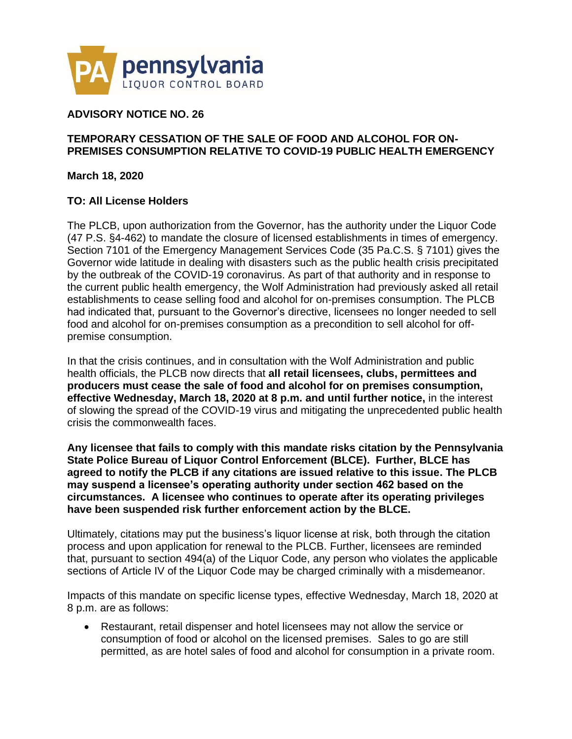

## **ADVISORY NOTICE NO. 26**

## **TEMPORARY CESSATION OF THE SALE OF FOOD AND ALCOHOL FOR ON-PREMISES CONSUMPTION RELATIVE TO COVID-19 PUBLIC HEALTH EMERGENCY**

**March 18, 2020**

## **TO: All License Holders**

The PLCB, upon authorization from the Governor, has the authority under the Liquor Code (47 P.S. §4-462) to mandate the closure of licensed establishments in times of emergency. Section 7101 of the Emergency Management Services Code (35 Pa.C.S. § 7101) gives the Governor wide latitude in dealing with disasters such as the public health crisis precipitated by the outbreak of the COVID-19 coronavirus. As part of that authority and in response to the current public health emergency, the Wolf Administration had previously asked all retail establishments to cease selling food and alcohol for on-premises consumption. The PLCB had indicated that, pursuant to the Governor's directive, licensees no longer needed to sell food and alcohol for on-premises consumption as a precondition to sell alcohol for offpremise consumption.

In that the crisis continues, and in consultation with the Wolf Administration and public health officials, the PLCB now directs that **all retail licensees, clubs, permittees and producers must cease the sale of food and alcohol for on premises consumption, effective Wednesday, March 18, 2020 at 8 p.m. and until further notice,** in the interest of slowing the spread of the COVID-19 virus and mitigating the unprecedented public health crisis the commonwealth faces.

**Any licensee that fails to comply with this mandate risks citation by the Pennsylvania State Police Bureau of Liquor Control Enforcement (BLCE). Further, BLCE has agreed to notify the PLCB if any citations are issued relative to this issue. The PLCB may suspend a licensee's operating authority under section 462 based on the circumstances. A licensee who continues to operate after its operating privileges have been suspended risk further enforcement action by the BLCE.** 

Ultimately, citations may put the business's liquor license at risk, both through the citation process and upon application for renewal to the PLCB. Further, licensees are reminded that, pursuant to section 494(a) of the Liquor Code, any person who violates the applicable sections of Article IV of the Liquor Code may be charged criminally with a misdemeanor.

Impacts of this mandate on specific license types, effective Wednesday, March 18, 2020 at 8 p.m. are as follows:

• Restaurant, retail dispenser and hotel licensees may not allow the service or consumption of food or alcohol on the licensed premises. Sales to go are still permitted, as are hotel sales of food and alcohol for consumption in a private room.